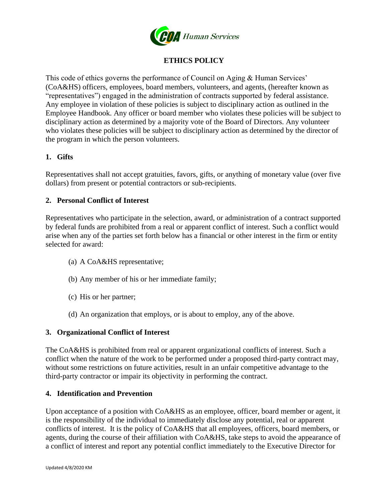

# **ETHICS POLICY**

This code of ethics governs the performance of Council on Aging & Human Services' (CoA&HS) officers, employees, board members, volunteers, and agents, (hereafter known as "representatives") engaged in the administration of contracts supported by federal assistance. Any employee in violation of these policies is subject to disciplinary action as outlined in the Employee Handbook. Any officer or board member who violates these policies will be subject to disciplinary action as determined by a majority vote of the Board of Directors. Any volunteer who violates these policies will be subject to disciplinary action as determined by the director of the program in which the person volunteers.

# **1. Gifts**

Representatives shall not accept gratuities, favors, gifts, or anything of monetary value (over five dollars) from present or potential contractors or sub-recipients.

# **2. Personal Conflict of Interest**

Representatives who participate in the selection, award, or administration of a contract supported by federal funds are prohibited from a real or apparent conflict of interest. Such a conflict would arise when any of the parties set forth below has a financial or other interest in the firm or entity selected for award:

- (a) A CoA&HS representative;
- (b) Any member of his or her immediate family;
- (c) His or her partner;
- (d) An organization that employs, or is about to employ, any of the above.

#### **3. Organizational Conflict of Interest**

The CoA&HS is prohibited from real or apparent organizational conflicts of interest. Such a conflict when the nature of the work to be performed under a proposed third-party contract may, without some restrictions on future activities, result in an unfair competitive advantage to the third-party contractor or impair its objectivity in performing the contract.

#### **4. Identification and Prevention**

Upon acceptance of a position with CoA&HS as an employee, officer, board member or agent, it is the responsibility of the individual to immediately disclose any potential, real or apparent conflicts of interest. It is the policy of CoA&HS that all employees, officers, board members, or agents, during the course of their affiliation with CoA&HS, take steps to avoid the appearance of a conflict of interest and report any potential conflict immediately to the Executive Director for